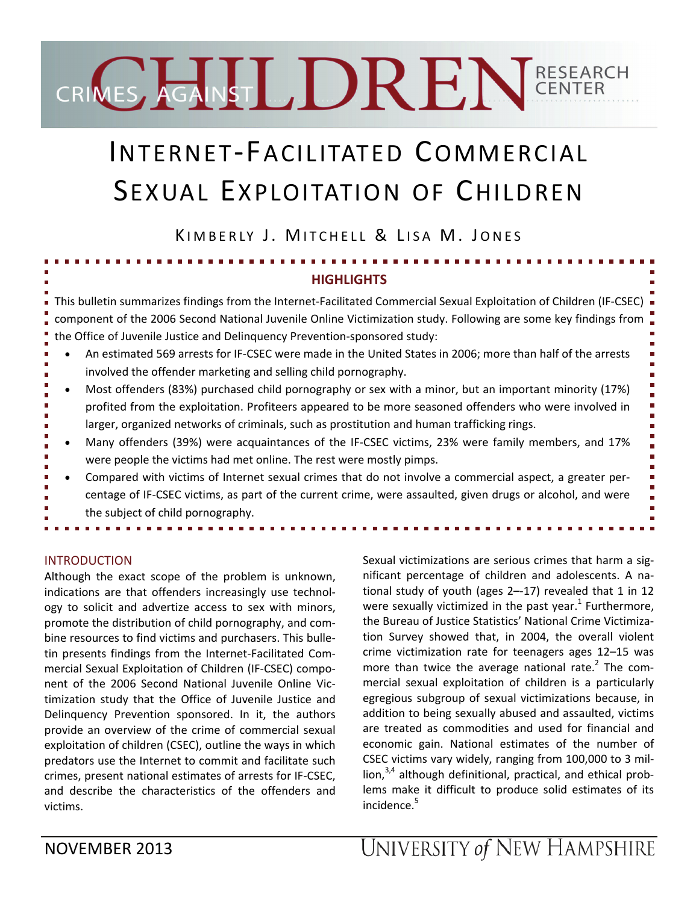# CRIMES AGAINST DREN GENTER

# INTERNET‐FACILITATED COMMERCIAL SEXUAL EXPLOITATION OF CHILDREN

KIMBERLY J. MITCHELL & LISA M. JONES

# **HIGHLIGHTS**

This bulletin summarizes findings from the Internet‐Facilitated Commercial Sexual Exploitation of Children (IF‐CSEC) component of the 2006 Second National Juvenile Online Victimization study. Following are some key findings from the Office of Juvenile Justice and Delinquency Prevention‐sponsored study:

- An estimated 569 arrests for IF‐CSEC were made in the United States in 2006; more than half of the arrests involved the offender marketing and selling child pornography.
- Most offenders (83%) purchased child pornography or sex with a minor, but an important minority (17%) profited from the exploitation. Profiteers appeared to be more seasoned offenders who were involved in larger, organized networks of criminals, such as prostitution and human trafficking rings.
- Many offenders (39%) were acquaintances of the IF‐CSEC victims, 23% were family members, and 17% were people the victims had met online. The rest were mostly pimps.
- Compared with victims of Internet sexual crimes that do not involve a commercial aspect, a greater per‐ centage of IF‐CSEC victims, as part of the current crime, were assaulted, given drugs or alcohol, and were the subject of child pornography.

# INTRODUCTION

Although the exact scope of the problem is unknown, indications are that offenders increasingly use technol‐ ogy to solicit and advertize access to sex with minors, promote the distribution of child pornography, and com‐ bine resources to find victims and purchasers. This bulle‐ tin presents findings from the Internet‐Facilitated Com‐ mercial Sexual Exploitation of Children (IF‐CSEC) compo‐ nent of the 2006 Second National Juvenile Online Vic‐ timization study that the Office of Juvenile Justice and Delinquency Prevention sponsored. In it, the authors provide an overview of the crime of commercial sexual exploitation of children (CSEC), outline the ways in which predators use the Internet to commit and facilitate such crimes, present national estimates of arrests for IF‐CSEC, and describe the characteristics of the offenders and victims.

Sexual victimizations are serious crimes that harm a sig‐ nificant percentage of children and adolescents. A na‐ tional study of youth (ages 2–‐17) revealed that 1 in 12 were sexually victimized in the past year.<sup>1</sup> Furthermore, the Bureau of Justice Statistics' National Crime Victimiza‐ tion Survey showed that, in 2004, the overall violent crime victimization rate for teenagers ages 12–15 was more than twice the average national rate.<sup>2</sup> The commercial sexual exploitation of children is a particularly egregious subgroup of sexual victimizations because, in addition to being sexually abused and assaulted, victims are treated as commodities and used for financial and economic gain. National estimates of the number of CSEC victims vary widely, ranging from 100,000 to 3 mil‐ lion, $3,4$  although definitional, practical, and ethical problems make it difficult to produce solid estimates of its incidence.<sup>5</sup>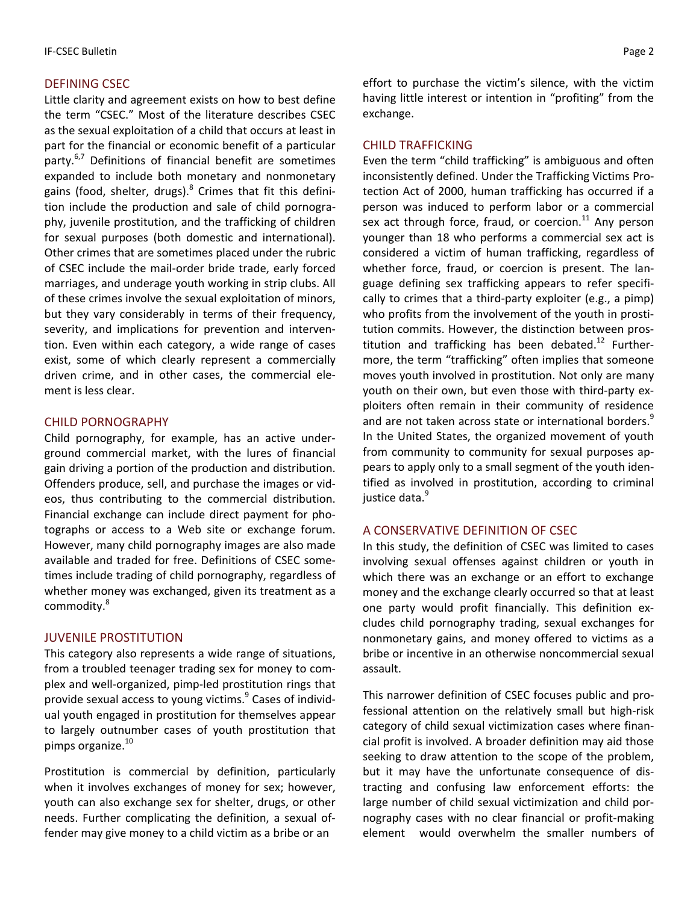#### DEFINING CSEC

Little clarity and agreement exists on how to best define the term "CSEC." Most of the literature describes CSEC as the sexual exploitation of a child that occurs at least in part for the financial or economic benefit of a particular party.<sup>6,7</sup> Definitions of financial benefit are sometimes expanded to include both monetary and nonmonetary gains (food, shelter, drugs).<sup>8</sup> Crimes that fit this definition include the production and sale of child pornogra‐ phy, juvenile prostitution, and the trafficking of children for sexual purposes (both domestic and international). Other crimes that are sometimes placed under the rubric of CSEC include the mail‐order bride trade, early forced marriages, and underage youth working in strip clubs. All of these crimes involve the sexual exploitation of minors, but they vary considerably in terms of their frequency, severity, and implications for prevention and interven‐ tion. Even within each category, a wide range of cases exist, some of which clearly represent a commercially driven crime, and in other cases, the commercial ele‐ ment is less clear.

#### CHILD PORNOGRAPHY

Child pornography, for example, has an active under‐ ground commercial market, with the lures of financial gain driving a portion of the production and distribution. Offenders produce, sell, and purchase the images or vid‐ eos, thus contributing to the commercial distribution. Financial exchange can include direct payment for pho‐ tographs or access to a Web site or exchange forum. However, many child pornography images are also made available and traded for free. Definitions of CSEC some‐ times include trading of child pornography, regardless of whether money was exchanged, given its treatment as a commodity.<sup>8</sup>

#### JUVENILE PROSTITUTION

This category also represents a wide range of situations, from a troubled teenager trading sex for money to com‐ plex and well‐organized, pimp‐led prostitution rings that provide sexual access to young victims.<sup>9</sup> Cases of individual youth engaged in prostitution for themselves appear to largely outnumber cases of youth prostitution that pimps organize.<sup>10</sup>

Prostitution is commercial by definition, particularly when it involves exchanges of money for sex; however, youth can also exchange sex for shelter, drugs, or other needs. Further complicating the definition, a sexual of‐ fender may give money to a child victim as a bribe or an

effort to purchase the victim's silence, with the victim having little interest or intention in "profiting" from the exchange.

#### CHILD TRAFFICKING

Even the term "child trafficking" is ambiguous and often inconsistently defined. Under the Trafficking Victims Pro‐ tection Act of 2000, human trafficking has occurred if a person was induced to perform labor or a commercial sex act through force, fraud, or coercion. $^{11}$  Any person younger than 18 who performs a commercial sex act is considered a victim of human trafficking, regardless of whether force, fraud, or coercion is present. The language defining sex trafficking appears to refer specifi‐ cally to crimes that a third‐party exploiter (e.g., a pimp) who profits from the involvement of the youth in prostitution commits. However, the distinction between pros‐ titution and trafficking has been debated.<sup>12</sup> Furthermore, the term "trafficking" often implies that someone moves youth involved in prostitution. Not only are many youth on their own, but even those with third‐party ex‐ ploiters often remain in their community of residence and are not taken across state or international borders.<sup>9</sup> In the United States, the organized movement of youth from community to community for sexual purposes ap‐ pears to apply only to a small segment of the youth iden‐ tified as involved in prostitution, according to criminal justice data.<sup>9</sup>

#### A CONSERVATIVE DEFINITION OF CSEC

In this study, the definition of CSEC was limited to cases involving sexual offenses against children or youth in which there was an exchange or an effort to exchange money and the exchange clearly occurred so that at least one party would profit financially. This definition ex‐ cludes child pornography trading, sexual exchanges for nonmonetary gains, and money offered to victims as a bribe or incentive in an otherwise noncommercial sexual assault.

This narrower definition of CSEC focuses public and pro‐ fessional attention on the relatively small but high‐risk category of child sexual victimization cases where finan‐ cial profit is involved. A broader definition may aid those seeking to draw attention to the scope of the problem, but it may have the unfortunate consequence of dis‐ tracting and confusing law enforcement efforts: the large number of child sexual victimization and child por‐ nography cases with no clear financial or profit‐making element would overwhelm the smaller numbers of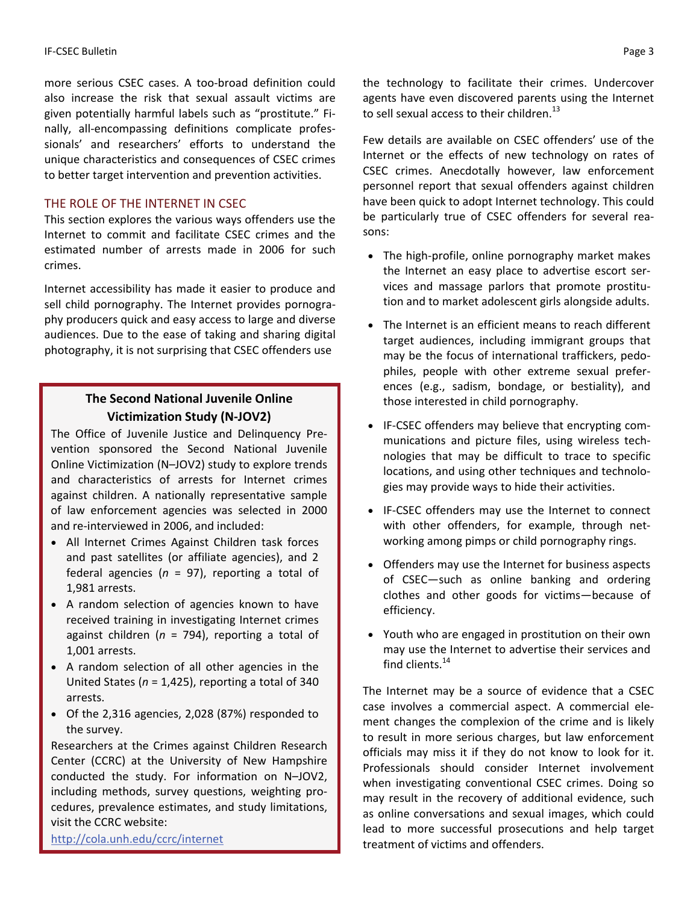more serious CSEC cases. A too‐broad definition could also increase the risk that sexual assault victims are given potentially harmful labels such as "prostitute." Fi‐ nally, all-encompassing definitions complicate professionals' and researchers' efforts to understand the unique characteristics and consequences of CSEC crimes to better target intervention and prevention activities.

#### THE ROLE OF THE INTERNET IN CSEC

This section explores the various ways offenders use the Internet to commit and facilitate CSEC crimes and the estimated number of arrests made in 2006 for such crimes.

Internet accessibility has made it easier to produce and sell child pornography. The Internet provides pornogra‐ phy producers quick and easy access to large and diverse audiences. Due to the ease of taking and sharing digital photography, it is not surprising that CSEC offenders use

# **The Second National Juvenile Online Victimization Study (N‐JOV2)**

The Office of Juvenile Justice and Delinquency Pre‐ vention sponsored the Second National Juvenile Online Victimization (N–JOV2) study to explore trends and characteristics of arrests for Internet crimes against children. A nationally representative sample of law enforcement agencies was selected in 2000 and re‐interviewed in 2006, and included:

- All Internet Crimes Against Children task forces and past satellites (or affiliate agencies), and 2 federal agencies (*n* = 97), reporting a total of 1,981 arrests.
- A random selection of agencies known to have received training in investigating Internet crimes against children (*n* = 794), reporting a total of 1,001 arrests.
- A random selection of all other agencies in the United States (*n* = 1,425), reporting a total of 340 arrests.
- Of the 2,316 agencies, 2,028 (87%) responded to the survey.

Researchers at the Crimes against Children Research Center (CCRC) at the University of New Hampshire conducted the study. For information on N–JOV2, including methods, survey questions, weighting pro‐ cedures, prevalence estimates, and study limitations, visit the CCRC website:

<http://cola.unh.edu/ccrc/internet>

the technology to facilitate their crimes. Undercover agents have even discovered parents using the Internet to sell sexual access to their children.<sup>13</sup>

Few details are available on CSEC offenders' use of the Internet or the effects of new technology on rates of CSEC crimes. Anecdotally however, law enforcement personnel report that sexual offenders against children have been quick to adopt Internet technology. This could be particularly true of CSEC offenders for several rea‐ sons:

- The high‐profile, online pornography market makes the Internet an easy place to advertise escort ser‐ vices and massage parlors that promote prostitu‐ tion and to market adolescent girls alongside adults.
- The Internet is an efficient means to reach different target audiences, including immigrant groups that may be the focus of international traffickers, pedo‐ philes, people with other extreme sexual prefer‐ ences (e.g., sadism, bondage, or bestiality), and those interested in child pornography.
- IF‐CSEC offenders may believe that encrypting com‐ munications and picture files, using wireless tech‐ nologies that may be difficult to trace to specific locations, and using other techniques and technolo‐ gies may provide ways to hide their activities.
- IF‐CSEC offenders may use the Internet to connect with other offenders, for example, through networking among pimps or child pornography rings.
- Offenders may use the Internet for business aspects of CSEC—such as online banking and ordering clothes and other goods for victims—because of efficiency.
- Youth who are engaged in prostitution on their own may use the Internet to advertise their services and find clients.<sup>14</sup>

The Internet may be a source of evidence that a CSEC case involves a commercial aspect. A commercial ele‐ ment changes the complexion of the crime and is likely to result in more serious charges, but law enforcement officials may miss it if they do not know to look for it. Professionals should consider Internet involvement when investigating conventional CSEC crimes. Doing so may result in the recovery of additional evidence, such as online conversations and sexual images, which could lead to more successful prosecutions and help target treatment of victims and offenders.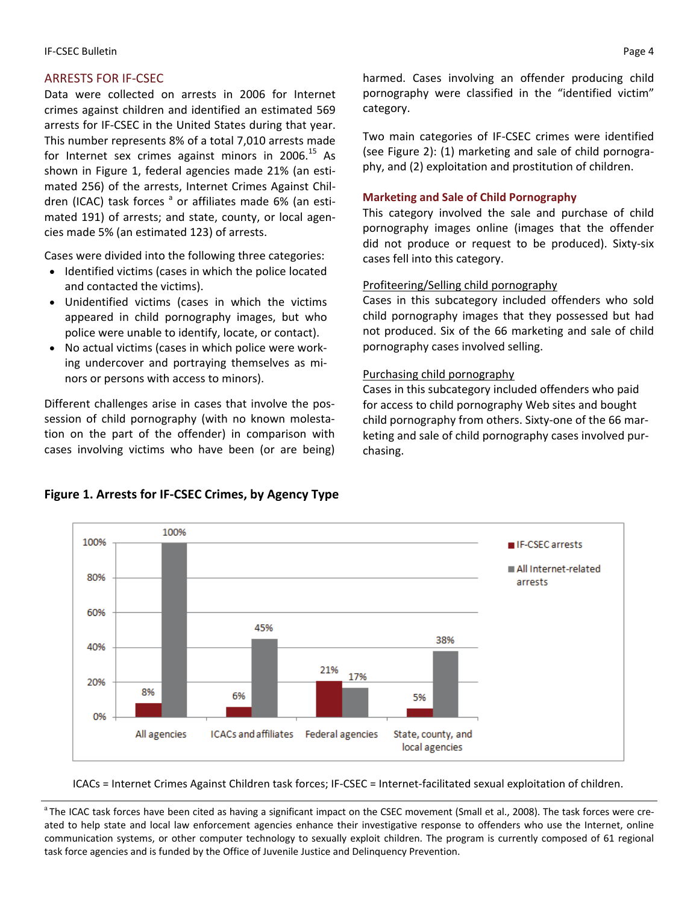# ARRESTS FOR IF‐CSEC

Data were collected on arrests in 2006 for Internet crimes against children and identified an estimated 569 arrests for IF‐CSEC in the United States during that year. This number represents 8% of a total 7,010 arrests made for Internet sex crimes against minors in 2006.<sup>15</sup> As shown in Figure 1, federal agencies made 21% (an esti‐ mated 256) of the arrests, Internet Crimes Against Chil‐ dren (ICAC) task forces  $a$  or affiliates made 6% (an estimated 191) of arrests; and state, county, or local agen‐ cies made 5% (an estimated 123) of arrests.

Cases were divided into the following three categories:

- Identified victims (cases in which the police located and contacted the victims).
- Unidentified victims (cases in which the victims appeared in child pornography images, but who police were unable to identify, locate, or contact).
- No actual victims (cases in which police were working undercover and portraying themselves as mi‐ nors or persons with access to minors).

Different challenges arise in cases that involve the pos‐ session of child pornography (with no known molesta‐ tion on the part of the offender) in comparison with cases involving victims who have been (or are being) harmed. Cases involving an offender producing child pornography were classified in the "identified victim" category.

Two main categories of IF‐CSEC crimes were identified (see Figure 2): (1) marketing and sale of child pornogra‐ phy, and (2) exploitation and prostitution of children.

## **Marketing and Sale of Child Pornography**

This category involved the sale and purchase of child pornography images online (images that the offender did not produce or request to be produced). Sixty‐six cases fell into this category.

# Profiteering/Selling child pornography

Cases in this subcategory included offenders who sold child pornography images that they possessed but had not produced. Six of the 66 marketing and sale of child pornography cases involved selling.

### Purchasing child pornography

Cases in this subcategory included offenders who paid for access to child pornography Web sites and bought child pornography from others. Sixty-one of the 66 marketing and sale of child pornography cases involved pur‐ chasing.



# **Figure 1. Arrests for IF‐CSEC Crimes, by Agency Type**

ICACs = Internet Crimes Against Children task forces; IF‐CSEC = Internet‐facilitated sexual exploitation of children.

<sup>a</sup>The ICAC task forces have been cited as having a significant impact on the CSEC movement (Small et al., 2008). The task forces were created to help state and local law enforcement agencies enhance their investigative response to offenders who use the Internet, online communication systems, or other computer technology to sexually exploit children. The program is currently composed of 61 regional task force agencies and is funded by the Office of Juvenile Justice and Delinquency Prevention.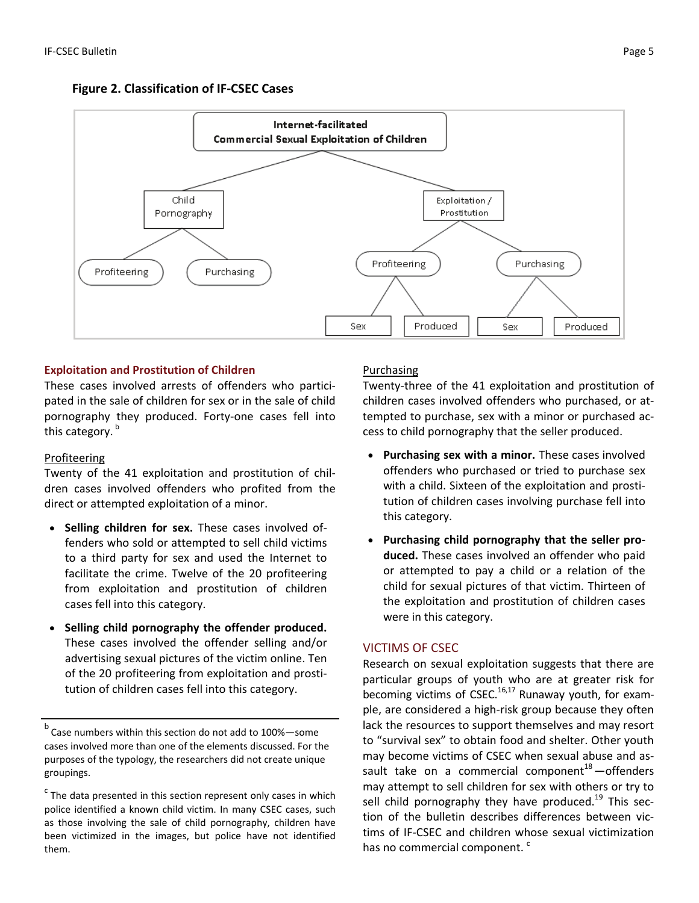



# **Exploitation and Prostitution of Children**

These cases involved arrests of offenders who partici‐ pated in the sale of children for sex or in the sale of child pornography they produced. Forty-one cases fell into this category.  $^{\sf b}$ 

# Profiteering

Twenty of the 41 exploitation and prostitution of chil‐ dren cases involved offenders who profited from the direct or attempted exploitation of a minor.

- **Selling children for sex.** These cases involved of‐ fenders who sold or attempted to sell child victims to a third party for sex and used the Internet to facilitate the crime. Twelve of the 20 profiteering from exploitation and prostitution of children cases fell into this category.
- **Selling child pornography the offender produced.** These cases involved the offender selling and/or advertising sexual pictures of the victim online. Ten of the 20 profiteering from exploitation and prosti‐ tution of children cases fell into this category.

 $<sup>b</sup>$  Case numbers within this section do not add to 100%—some</sup> cases involved more than one of the elements discussed. For the purposes of the typology, the researchers did not create unique groupings.

# Purchasing

Twenty‐three of the 41 exploitation and prostitution of children cases involved offenders who purchased, or at‐ tempted to purchase, sex with a minor or purchased ac‐ cess to child pornography that the seller produced.

- **Purchasing sex with a minor.** These cases involved offenders who purchased or tried to purchase sex with a child. Sixteen of the exploitation and prosti‐ tution of children cases involving purchase fell into this category.
- **Purchasing child pornography that the seller pro‐ duced.** These cases involved an offender who paid or attempted to pay a child or a relation of the child for sexual pictures of that victim. Thirteen of the exploitation and prostitution of children cases were in this category.

# VICTIMS OF CSEC

Research on sexual exploitation suggests that there are particular groups of youth who are at greater risk for becoming victims of CSEC.<sup>16,17</sup> Runaway youth, for example, are considered a high‐risk group because they often lack the resources to support themselves and may resort to "survival sex" to obtain food and shelter. Other youth may become victims of CSEC when sexual abuse and as‐ sault take on a commercial component $18$  -offenders may attempt to sell children for sex with others or try to sell child pornography they have produced.<sup>19</sup> This section of the bulletin describes differences between vic‐ tims of IF‐CSEC and children whose sexual victimization has no commercial component.<sup>c</sup>

 $c$  The data presented in this section represent only cases in which police identified a known child victim. In many CSEC cases, such as those involving the sale of child pornography, children have been victimized in the images, but police have not identified them.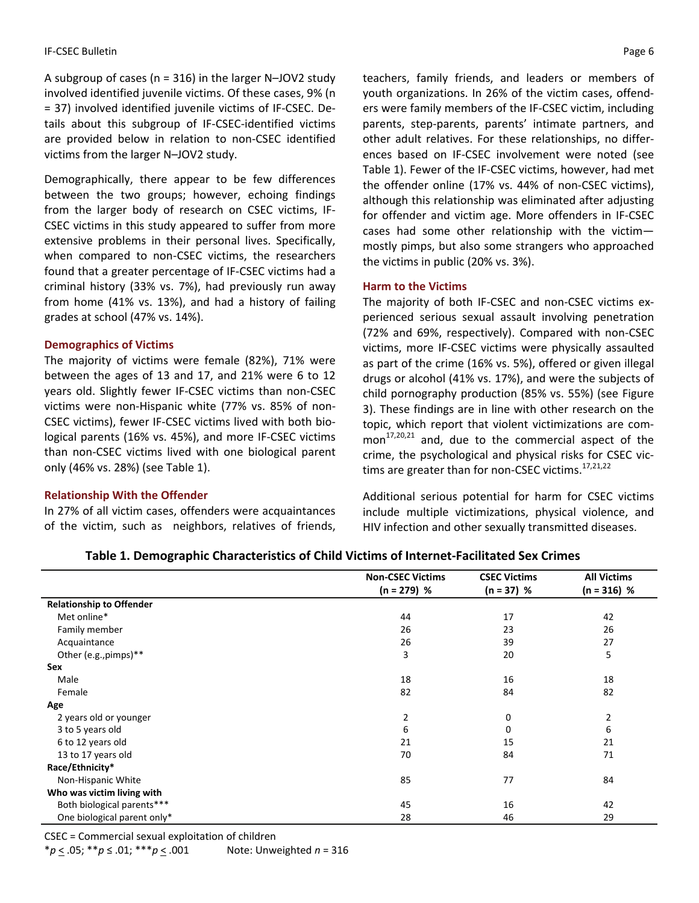A subgroup of cases (n = 316) in the larger N–JOV2 study involved identified juvenile victims. Of these cases, 9% (n = 37) involved identified juvenile victims of IF‐CSEC. De‐ tails about this subgroup of IF‐CSEC‐identified victims are provided below in relation to non‐CSEC identified victims from the larger N–JOV2 study.

Demographically, there appear to be few differences between the two groups; however, echoing findings from the larger body of research on CSEC victims, IF‐ CSEC victims in this study appeared to suffer from more extensive problems in their personal lives. Specifically, when compared to non-CSEC victims, the researchers found that a greater percentage of IF‐CSEC victims had a criminal history (33% vs. 7%), had previously run away from home (41% vs. 13%), and had a history of failing grades at school (47% vs. 14%).

#### **Demographics of Victims**

The majority of victims were female (82%), 71% were between the ages of 13 and 17, and 21% were 6 to 12 years old. Slightly fewer IF‐CSEC victims than non‐CSEC victims were non‐Hispanic white (77% vs. 85% of non‐ CSEC victims), fewer IF‐CSEC victims lived with both bio‐ logical parents (16% vs. 45%), and more IF‐CSEC victims than non‐CSEC victims lived with one biological parent only (46% vs. 28%) (see Table 1).

#### **Relationship With the Offender**

In 27% of all victim cases, offenders were acquaintances of the victim, such as neighbors, relatives of friends, teachers, family friends, and leaders or members of youth organizations. In 26% of the victim cases, offend‐ ers were family members of the IF‐CSEC victim, including parents, step‐parents, parents' intimate partners, and other adult relatives. For these relationships, no differ‐ ences based on IF‐CSEC involvement were noted (see Table 1). Fewer of the IF‐CSEC victims, however, had met the offender online (17% vs. 44% of non‐CSEC victims), although this relationship was eliminated after adjusting for offender and victim age. More offenders in IF‐CSEC cases had some other relationship with the victim mostly pimps, but also some strangers who approached the victims in public (20% vs. 3%).

#### **Harm to the Victims**

The majority of both IF‐CSEC and non‐CSEC victims ex‐ perienced serious sexual assault involving penetration (72% and 69%, respectively). Compared with non‐CSEC victims, more IF‐CSEC victims were physically assaulted as part of the crime (16% vs. 5%), offered or given illegal drugs or alcohol (41% vs. 17%), and were the subjects of child pornography production (85% vs. 55%) (see Figure 3). These findings are in line with other research on the topic, which report that violent victimizations are com‐ mon $17,20,21$  and, due to the commercial aspect of the crime, the psychological and physical risks for CSEC vic‐ tims are greater than for non-CSEC victims.<sup>17,21,22</sup>

Additional serious potential for harm for CSEC victims include multiple victimizations, physical violence, and HIV infection and other sexually transmitted diseases.

| Table 1. Demographic Characteristics of Child Victims of Internet-Facilitated Sex Crimes |  |
|------------------------------------------------------------------------------------------|--|
|------------------------------------------------------------------------------------------|--|

|                                 | <b>Non-CSEC Victims</b> | <b>CSEC Victims</b> | <b>All Victims</b> |
|---------------------------------|-------------------------|---------------------|--------------------|
|                                 | $(n = 279)$ %           | $(n = 37) %$        | $(n = 316)$ %      |
| <b>Relationship to Offender</b> |                         |                     |                    |
| Met online*                     | 44                      | 17                  | 42                 |
| Family member                   | 26                      | 23                  | 26                 |
| Acquaintance                    | 26                      | 39                  | 27                 |
| Other (e.g., pimps)**           | 3                       | 20                  | 5                  |
| Sex                             |                         |                     |                    |
| Male                            | 18                      | 16                  | 18                 |
| Female                          | 82                      | 84                  | 82                 |
| Age                             |                         |                     |                    |
| 2 years old or younger          | 2                       | 0                   | 2                  |
| 3 to 5 years old                | 6                       | 0                   | 6                  |
| 6 to 12 years old               | 21                      | 15                  | 21                 |
| 13 to 17 years old              | 70                      | 84                  | 71                 |
| Race/Ethnicity*                 |                         |                     |                    |
| Non-Hispanic White              | 85                      | 77                  | 84                 |
| Who was victim living with      |                         |                     |                    |
| Both biological parents***      | 45                      | 16                  | 42                 |
| One biological parent only*     | 28                      | 46                  | 29                 |

CSEC = Commercial sexual exploitation of children

\**p* < .05; \*\**p* ≤ .01; \*\*\**p* < .001 Note: Unweighted *n* = 316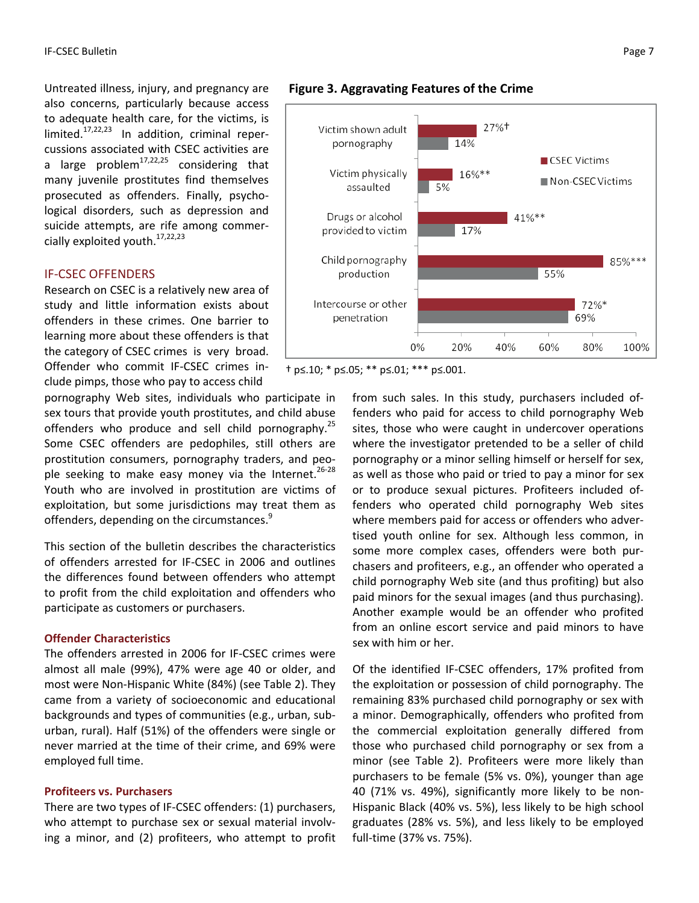Untreated illness, injury, and pregnancy are also concerns, particularly because access to adequate health care, for the victims, is limited. $17,22,23$  In addition, criminal repercussions associated with CSEC activities are a large problem<sup>17,22,25</sup> considering that many juvenile prostitutes find themselves prosecuted as offenders. Finally, psycho‐ logical disorders, such as depression and suicide attempts, are rife among commer‐ cially exploited youth.<sup>17,22,23</sup>

#### IF‐CSEC OFFENDERS

Research on CSEC is a relatively new area of study and little information exists about offenders in these crimes. One barrier to learning more about these offenders is that the category of CSEC crimes is very broad. Offender who commit IF‐CSEC crimes in‐ clude pimps, those who pay to access child

pornography Web sites, individuals who participate in sex tours that provide youth prostitutes, and child abuse offenders who produce and sell child pornography.<sup>25</sup> Some CSEC offenders are pedophiles, still others are prostitution consumers, pornography traders, and peo‐ ple seeking to make easy money via the Internet.<sup>26-28</sup> Youth who are involved in prostitution are victims of exploitation, but some jurisdictions may treat them as offenders, depending on the circumstances.<sup>9</sup>

This section of the bulletin describes the characteristics of offenders arrested for IF‐CSEC in 2006 and outlines the differences found between offenders who attempt to profit from the child exploitation and offenders who participate as customers or purchasers.

### **Offender Characteristics**

The offenders arrested in 2006 for IF‐CSEC crimes were almost all male (99%), 47% were age 40 or older, and most were Non‐Hispanic White (84%) (see Table 2). They came from a variety of socioeconomic and educational backgrounds and types of communities (e.g., urban, sub‐ urban, rural). Half (51%) of the offenders were single or never married at the time of their crime, and 69% were employed full time.

#### **Profiteers vs. Purchasers**

There are two types of IF‐CSEC offenders: (1) purchasers, who attempt to purchase sex or sexual material involving a minor, and (2) profiteers, who attempt to profit



#### **Figure 3. Aggravating Features of the Crime**

† p≤.10; \* p≤.05; \*\* p≤.01; \*\*\* p≤.001.

from such sales. In this study, purchasers included of‐ fenders who paid for access to child pornography Web sites, those who were caught in undercover operations where the investigator pretended to be a seller of child pornography or a minor selling himself or herself for sex, as well as those who paid or tried to pay a minor for sex or to produce sexual pictures. Profiteers included of‐ fenders who operated child pornography Web sites where members paid for access or offenders who adver‐ tised youth online for sex. Although less common, in some more complex cases, offenders were both purchasers and profiteers, e.g., an offender who operated a child pornography Web site (and thus profiting) but also paid minors for the sexual images (and thus purchasing). Another example would be an offender who profited from an online escort service and paid minors to have sex with him or her.

Of the identified IF‐CSEC offenders, 17% profited from the exploitation or possession of child pornography. The remaining 83% purchased child pornography or sex with a minor. Demographically, offenders who profited from the commercial exploitation generally differed from those who purchased child pornography or sex from a minor (see Table 2). Profiteers were more likely than purchasers to be female (5% vs. 0%), younger than age 40 (71% vs. 49%), significantly more likely to be non‐ Hispanic Black (40% vs. 5%), less likely to be high school graduates (28% vs. 5%), and less likely to be employed full‐time (37% vs. 75%).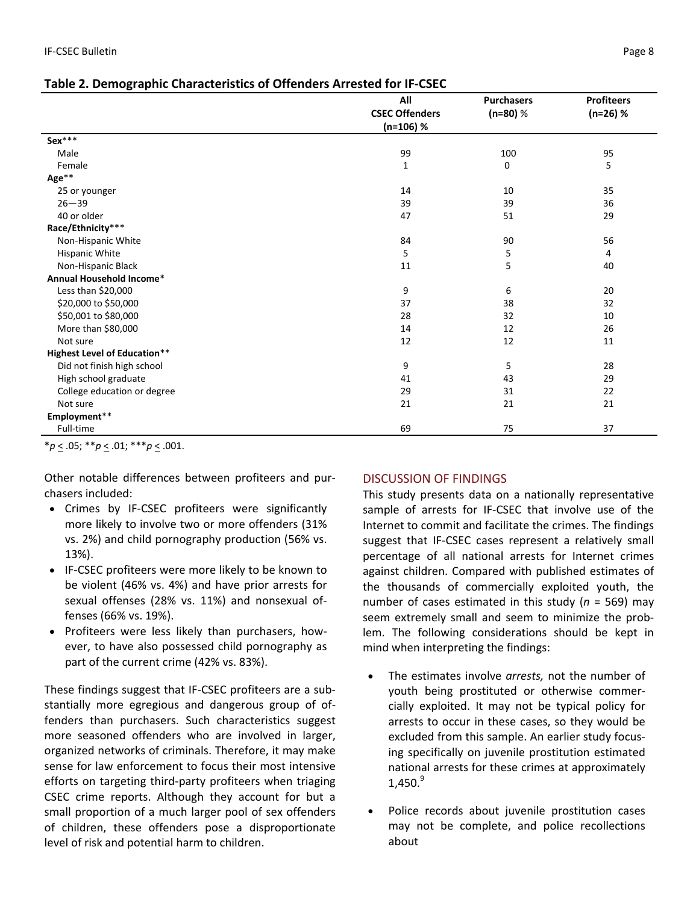| Table 2. Demographic Characteristics of Offenders Arrested for IF-CSEC |
|------------------------------------------------------------------------|
|------------------------------------------------------------------------|

|                                     | All                   | <b>Purchasers</b> | <b>Profiteers</b> |
|-------------------------------------|-----------------------|-------------------|-------------------|
|                                     | <b>CSEC Offenders</b> | $(n=80)$ %        | $(n=26)$ %        |
|                                     | $(n=106)$ %           |                   |                   |
| Sex***                              |                       |                   |                   |
| Male                                | 99                    | 100               | 95                |
| Female                              | 1                     | 0                 | 5                 |
| Age**                               |                       |                   |                   |
| 25 or younger                       | 14                    | 10                | 35                |
| $26 - 39$                           | 39                    | 39                | 36                |
| 40 or older                         | 47                    | 51                | 29                |
| Race/Ethnicity***                   |                       |                   |                   |
| Non-Hispanic White                  | 84                    | 90                | 56                |
| Hispanic White                      | 5                     | 5                 | 4                 |
| Non-Hispanic Black                  | 11                    | 5                 | 40                |
| Annual Household Income*            |                       |                   |                   |
| Less than \$20,000                  | 9                     | 6                 | 20                |
| \$20,000 to \$50,000                | 37                    | 38                | 32                |
| \$50,001 to \$80,000                | 28                    | 32                | 10                |
| More than \$80,000                  | 14                    | 12                | 26                |
| Not sure                            | 12                    | 12                | 11                |
| <b>Highest Level of Education**</b> |                       |                   |                   |
| Did not finish high school          | 9                     | 5                 | 28                |
| High school graduate                | 41                    | 43                | 29                |
| College education or degree         | 29                    | 31                | 22                |
| Not sure                            | 21                    | 21                | 21                |
| Employment**                        |                       |                   |                   |
| Full-time                           | 69                    | 75                | 37                |

\**p* < .05; \*\**p* < .01; \*\*\**p* < .001.

Other notable differences between profiteers and pur‐ chasers included:

- Crimes by IF‐CSEC profiteers were significantly more likely to involve two or more offenders (31% vs. 2%) and child pornography production (56% vs. 13%).
- IF‐CSEC profiteers were more likely to be known to be violent (46% vs. 4%) and have prior arrests for sexual offenses (28% vs. 11%) and nonsexual of‐ fenses (66% vs. 19%).
- Profiteers were less likely than purchasers, how‐ ever, to have also possessed child pornography as part of the current crime (42% vs. 83%).

These findings suggest that IF‐CSEC profiteers are a sub‐ stantially more egregious and dangerous group of of‐ fenders than purchasers. Such characteristics suggest more seasoned offenders who are involved in larger, organized networks of criminals. Therefore, it may make sense for law enforcement to focus their most intensive efforts on targeting third‐party profiteers when triaging CSEC crime reports. Although they account for but a small proportion of a much larger pool of sex offenders of children, these offenders pose a disproportionate level of risk and potential harm to children.

# DISCUSSION OF FINDINGS

This study presents data on a nationally representative sample of arrests for IF-CSEC that involve use of the Internet to commit and facilitate the crimes. The findings suggest that IF‐CSEC cases represent a relatively small percentage of all national arrests for Internet crimes against children. Compared with published estimates of the thousands of commercially exploited youth, the number of cases estimated in this study (*n* = 569) may seem extremely small and seem to minimize the prob‐ lem. The following considerations should be kept in mind when interpreting the findings:

- The estimates involve *arrests,* not the number of youth being prostituted or otherwise commer‐ cially exploited. It may not be typical policy for arrests to occur in these cases, so they would be excluded from this sample. An earlier study focus‐ ing specifically on juvenile prostitution estimated national arrests for these crimes at approximately  $1.450.<sup>9</sup>$
- Police records about juvenile prostitution cases may not be complete, and police recollections about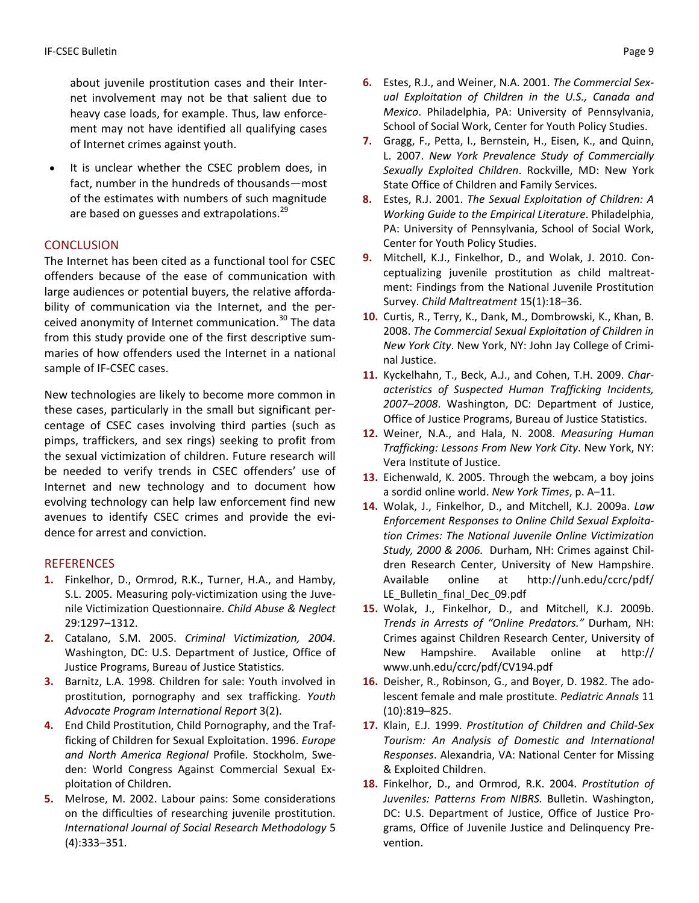about juvenile prostitution cases and their Inter‐ net involvement may not be that salient due to heavy case loads, for example. Thus, law enforce‐ ment may not have identified all qualifying cases of Internet crimes against youth.

It is unclear whether the CSEC problem does, in fact, number in the hundreds of thousands—most of the estimates with numbers of such magnitude are based on guesses and extrapolations.<sup>29</sup>

# **CONCLUSION**

The Internet has been cited as a functional tool for CSEC offenders because of the ease of communication with large audiences or potential buyers, the relative afforda‐ bility of communication via the Internet, and the per‐ ceived anonymity of Internet communication.<sup>30</sup> The data from this study provide one of the first descriptive sum‐ maries of how offenders used the Internet in a national sample of IF‐CSEC cases.

New technologies are likely to become more common in these cases, particularly in the small but significant per‐ centage of CSEC cases involving third parties (such as pimps, traffickers, and sex rings) seeking to profit from the sexual victimization of children. Future research will be needed to verify trends in CSEC offenders' use of Internet and new technology and to document how evolving technology can help law enforcement find new avenues to identify CSEC crimes and provide the evi‐ dence for arrest and conviction.

# **REFERENCES**

- **1.** Finkelhor, D., Ormrod, R.K., Turner, H.A., and Hamby, S.L. 2005. Measuring poly-victimization using the Juvenile Victimization Questionnaire. *Child Abuse & Neglect* 29:1297–1312.
- **2.** Catalano, S.M. 2005. *Criminal Victimization, 2004*. Washington, DC: U.S. Department of Justice, Office of Justice Programs, Bureau of Justice Statistics.
- **3.** Barnitz, L.A. 1998. Children for sale: Youth involved in prostitution, pornography and sex trafficking. *Youth Advocate Program International Report* 3(2).
- **4.** End Child Prostitution, Child Pornography, and the Traf‐ ficking of Children for Sexual Exploitation. 1996. *Europe and North America Regional* Profile. Stockholm, Swe‐ den: World Congress Against Commercial Sexual Ex‐ ploitation of Children.
- **5.** Melrose, M. 2002. Labour pains: Some considerations on the difficulties of researching juvenile prostitution. *International Journal of Social Research Methodology* 5 (4):333–351.
- **6.** Estes, R.J., and Weiner, N.A. 2001. *The Commercial Sex‐ ual Exploitation of Children in the U.S., Canada and Mexico*. Philadelphia, PA: University of Pennsylvania, School of Social Work, Center for Youth Policy Studies.
- **7.** Gragg, F., Petta, I., Bernstein, H., Eisen, K., and Quinn, L. 2007. *New York Prevalence Study of Commercially Sexually Exploited Children*. Rockville, MD: New York State Office of Children and Family Services.
- **8.** Estes, R.J. 2001. *The Sexual Exploitation of Children: A Working Guide to the Empirical Literature*. Philadelphia, PA: University of Pennsylvania, School of Social Work, Center for Youth Policy Studies.
- **9.** Mitchell, K.J., Finkelhor, D., and Wolak, J. 2010. Con‐ ceptualizing juvenile prostitution as child maltreat‐ ment: Findings from the National Juvenile Prostitution Survey. *Child Maltreatment* 15(1):18–36.
- **10.** Curtis, R., Terry, K., Dank, M., Dombrowski, K., Khan, B. 2008. *The Commercial Sexual Exploitation of Children in New York City*. New York, NY: John Jay College of Crimi‐ nal Justice.
- **11.** Kyckelhahn, T., Beck, A.J., and Cohen, T.H. 2009. *Char‐ acteristics of Suspected Human Trafficking Incidents, 2007–2008*. Washington, DC: Department of Justice, Office of Justice Programs, Bureau of Justice Statistics.
- **12.** Weiner, N.A., and Hala, N. 2008. *Measuring Human Trafficking: Lessons From New York City*. New York, NY: Vera Institute of Justice.
- **13.** Eichenwald, K. 2005. Through the webcam, a boy joins a sordid online world. *New York Times*, p. A–11.
- **14.** Wolak, J., Finkelhor, D., and Mitchell, K.J. 2009a. *Law Enforcement Responses to Online Child Sexual Exploita‐ tion Crimes: The National Juvenile Online Victimization Study, 2000 & 2006.* Durham, NH: Crimes against Chil‐ dren Research Center, University of New Hampshire. Available online at http://unh.edu/ccrc/pdf/ LE\_Bulletin\_final\_Dec\_09.pdf
- **15.** Wolak, J., Finkelhor, D., and Mitchell, K.J. 2009b. *Trends in Arrests of "Online Predators."* Durham, NH: Crimes against Children Research Center, University of New Hampshire. Available online at http:// www.unh.edu/ccrc/pdf/CV194.pdf
- **16.** Deisher, R., Robinson, G., and Boyer, D. 1982. The ado‐ lescent female and male prostitute. *Pediatric Annals* 11 (10):819–825.
- **17.** Klain, E.J. 1999. *Prostitution of Children and Child‐Sex Tourism: An Analysis of Domestic and International Responses*. Alexandria, VA: National Center for Missing & Exploited Children.
- **18.** Finkelhor, D., and Ormrod, R.K. 2004. *Prostitution of Juveniles: Patterns From NIBRS.* Bulletin. Washington, DC: U.S. Department of Justice, Office of Justice Pro‐ grams, Office of Juvenile Justice and Delinquency Pre‐ vention.